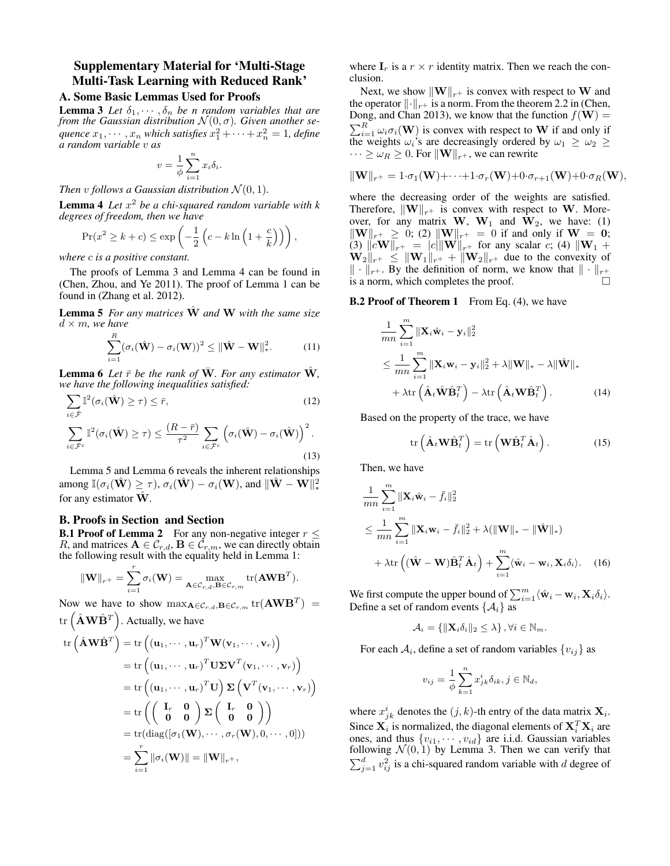## Supplementary Material for 'Multi-Stage Multi-Task Learning with Reduced Rank'

### A. Some Basic Lemmas Used for Proofs

**Lemma 3** *Let*  $\delta_1, \cdots, \delta_n$  *be n random variables that are from the Gaussian distribution*  $\mathcal{N}(0, \sigma)$ *. Given another se*quence  $x_1, \cdots, x_n$  which satisfies  $x_1^2 + \cdots + x_n^2 = 1$ , define *a random variable* v *as*

$$
v = \frac{1}{\phi} \sum_{i=1}^{n} x_i \delta_i.
$$

*Then v follows a Gaussian distribution*  $\mathcal{N}(0, 1)$ *.* 

Lemma 4 *Let* x <sup>2</sup> *be a chi-squared random variable with k degrees of freedom, then we have*

$$
\Pr(x^2 \ge k + c) \le \exp\left(-\frac{1}{2}\left(c - k\ln\left(1 + \frac{c}{k}\right)\right)\right),\,
$$

*where* c *is a positive constant.*

The proofs of Lemma 3 and Lemma 4 can be found in (Chen, Zhou, and Ye 2011). The proof of Lemma 1 can be found in (Zhang et al. 2012).

Lemma 5 *For any matrices*  $\hat{W}$  *and* W *with the same size*  $d \times m$ , we have

$$
\sum_{i=1}^{R} (\sigma_i(\hat{\mathbf{W}}) - \sigma_i(\mathbf{W}))^2 \leq ||\hat{\mathbf{W}} - \mathbf{W}||_*^2.
$$
 (11)

**Lemma 6** Let  $\bar{r}$  be the rank of W. For any estimator W, *we have the following inequalities satisfied:*

$$
\sum_{i \in \bar{\mathcal{F}}} \mathbb{I}^2(\sigma_i(\hat{\mathbf{W}}) \ge \tau) \le \bar{r},\tag{12}
$$
\n
$$
\sum_{i \in \bar{\mathcal{F}}} \mathbb{I}^2(\sigma_i(\hat{\mathbf{W}}) \ge \tau) \le \frac{(R - \bar{r})}{r^2} \sum_{i} \left(\sigma_i(\bar{\mathbf{W}}) - \sigma_i(\hat{\mathbf{W}})\right)^2.
$$

$$
\sum_{i \in \bar{\mathcal{F}}^c} \mathfrak{u}(v_i(\mathbf{w}) \leq t) \leq \tau^2 \sum_{i \in \bar{\mathcal{F}}^c} \mathfrak{v}(v_i(\mathbf{w}) \mathfrak{v}_i(\mathbf{w}))
$$
 (13)

Lemma 5 and Lemma 6 reveals the inherent relationships among  $\mathbb{I}(\sigma_i(\hat{\mathbf{W}}) \geq \tau),$   $\sigma_i(\hat{\mathbf{W}}) - \sigma_i(\mathbf{W}),$  and  $\|\hat{\mathbf{W}} - \mathbf{W}\|_*^2$ for any estimator  $\hat{W}$ .

### B. Proofs in Section and Section

**B.1 Proof of Lemma 2** For any non-negative integer  $r \leq$ R, and matrices  $A \in \mathcal{C}_{r,d}, B \in \mathcal{C}_{r,m}$ , we can directly obtain the following result with the equality held in Lemma 1:

$$
\|\mathbf{W}\|_{r^+} = \sum_{i=1}^r \sigma_i(\mathbf{W}) = \max_{\mathbf{A} \in \mathcal{C}_{r,d}, \mathbf{B} \in \mathcal{C}_{r,m}} \text{tr}(\mathbf{A} \mathbf{W} \mathbf{B}^T).
$$

Now we have to show  $\max_{\mathbf{A}\in\mathcal{C}_{r,d},\mathbf{B}\in\mathcal{C}_{r,m}}$  tr $(\mathbf{A}\mathbf{W}\mathbf{B}^T)$  =

tr 
$$
(\hat{\mathbf{A}} \mathbf{W} \hat{\mathbf{B}}^T)
$$
. Actually, we have  
\ntr  $(\hat{\mathbf{A}} \mathbf{W} \hat{\mathbf{B}}^T) = \text{tr} ((\mathbf{u}_1, \dots, \mathbf{u}_r)^T \mathbf{W} (\mathbf{v}_1, \dots, \mathbf{v}_r))$   
\n
$$
= \text{tr} ((\mathbf{u}_1, \dots, \mathbf{u}_r)^T \mathbf{U} \mathbf{\Sigma} \mathbf{V}^T (\mathbf{v}_1, \dots, \mathbf{v}_r))
$$
\n
$$
= \text{tr} ((\mathbf{u}_1, \dots, \mathbf{u}_r)^T \mathbf{U}) \mathbf{\Sigma} (\mathbf{V}^T (\mathbf{v}_1, \dots, \mathbf{v}_r))
$$
\n
$$
= \text{tr} ((\frac{\mathbf{I}_r}{\mathbf{0}} \mathbf{0}) \mathbf{\Sigma} (\frac{\mathbf{I}_r}{\mathbf{0}} \mathbf{0}) )
$$
\n
$$
= \text{tr}(\text{diag}([\sigma_1(\mathbf{W}), \dots, \sigma_r(\mathbf{W}), 0, \dots, 0]))
$$
\n
$$
= \sum_{i=1}^r ||\sigma_i(\mathbf{W})|| = ||\mathbf{W}||_{r+},
$$

where  $I_r$  is a  $r \times r$  identity matrix. Then we reach the conclusion.

Next, we show  $\|\mathbf{W}\|_{r+}$  is convex with respect to W and the operator  $\lVert \cdot \rVert_{r+}$  is a norm. From the theorem 2.2 in (Chen, Dong, and Chan 2013), we know that the function  $f(\mathbf{W}) =$  $\sum_{i=1}^{R} \omega_i \sigma_i(\mathbf{W})$  is convex with respect to **W** if and only if the weights  $\omega_i$ 's are decreasingly ordered by  $\omega_1 \geq \omega_2 \geq$  $\cdots \geq \omega_R \geq 0$ . For  $\|\mathbf{W}\|_{r+}$ , we can rewrite

$$
\|\mathbf{W}\|_{r^+} = 1 \cdot \sigma_1(\mathbf{W}) + \cdots + 1 \cdot \sigma_r(\mathbf{W}) + 0 \cdot \sigma_{r+1}(\mathbf{W}) + 0 \cdot \sigma_R(\mathbf{W}),
$$

where the decreasing order of the weights are satisfied. Therefore,  $\|\mathbf{W}\|_{r+}$  is convex with respect to W. Moreover, for any matrix  $W$ ,  $W_1$  and  $W_2$ , we have: (1)  $\|\mathbf{W}\|_{r+} \geq 0$ ; (2)  $\|\mathbf{W}\|_{r+} = 0$  if and only if  $\mathbf{W} = \mathbf{0}$ ; (3)  $||c\mathbf{W}||_{r^+} = |c||\mathbf{W}||_{r^+}$  for any scalar c; (4)  $||\mathbf{W}_1 +$  $\mathbf{W}_{2\parallel r+} \leq \|\mathbf{W}_{1\parallel r+} + \|\mathbf{W}_{2\parallel r+}$  due to the convexity of  $\|\cdot\|_{r+}$ . By the definition of norm, we know that  $\|\cdot\|_{r+}$  is a norm, which completes the proof is a norm, which completes the proof.

#### **B.2 Proof of Theorem 1** From Eq. (4), we have

$$
\frac{1}{mn} \sum_{i=1}^{m} \|\mathbf{X}_i \hat{\mathbf{w}}_i - \mathbf{y}_i\|_2^2
$$
\n
$$
\leq \frac{1}{mn} \sum_{i=1}^{m} \|\mathbf{X}_i \mathbf{w}_i - \mathbf{y}_i\|_2^2 + \lambda \|\mathbf{W}\|_* - \lambda \|\hat{\mathbf{W}}\|_*
$$
\n
$$
+ \lambda \text{tr} \left( \hat{\mathbf{A}}_t \hat{\mathbf{W}} \hat{\mathbf{B}}_t^T \right) - \lambda \text{tr} \left( \hat{\mathbf{A}}_t \mathbf{W} \hat{\mathbf{B}}_t^T \right). \tag{14}
$$

Based on the property of the trace, we have

$$
\operatorname{tr}\left(\hat{\mathbf{A}}_{t}\mathbf{W}\hat{\mathbf{B}}_{t}^{T}\right)=\operatorname{tr}\left(\mathbf{W}\hat{\mathbf{B}}_{t}^{T}\hat{\mathbf{A}}_{t}\right).
$$
 (15)

Then, we have

$$
\frac{1}{mn} \sum_{i=1}^{m} \|\mathbf{X}_{i} \hat{\mathbf{w}}_{i} - \bar{f}_{i}\|_{2}^{2}
$$
\n
$$
\leq \frac{1}{mn} \sum_{i=1}^{m} \|\mathbf{X}_{i} \mathbf{w}_{i} - \bar{f}_{i}\|_{2}^{2} + \lambda (\|\mathbf{W}\|_{*} - \|\hat{\mathbf{W}}\|_{*})
$$
\n
$$
+ \lambda \text{tr}\left( (\hat{\mathbf{W}} - \mathbf{W}) \hat{\mathbf{B}}_{t}^{T} \hat{\mathbf{A}}_{t} \right) + \sum_{i=1}^{m} \langle \hat{\mathbf{w}}_{i} - \mathbf{w}_{i}, \mathbf{X}_{i} \delta_{i} \rangle. \quad (16)
$$

We first compute the upper bound of  $\sum_{i=1}^{m} \langle \hat{\mathbf{w}}_i - \mathbf{w}_i, \mathbf{X}_i \delta_i \rangle$ . Define a set of random events  $\{A_i\}$  as

$$
\mathcal{A}_i = \{ ||\mathbf{X}_i \delta_i||_2 \leq \lambda \}, \forall i \in \mathbb{N}_m.
$$

For each  $A_i$ , define a set of random variables  $\{v_{ij}\}$  as

$$
v_{ij} = \frac{1}{\phi} \sum_{k=1}^{n} x_{jk}^{i} \delta_{ik}, j \in \mathbb{N}_d,
$$

where  $x_{jk}^i$  denotes the  $(j, k)$ -th entry of the data matrix  $\mathbf{X}_i$ . Since  $X_i$  is normalized, the diagonal elements of  $X_i^T X_i$  are ones, and thus  $\{v_{i1}, \dots, v_{id}\}$  are i.i.d. Gaussian variables following  $\mathcal{N}(0, 1)$  by Lemma 3. Then we can verify that  $\sum_{j=1}^{d} v_{ij}^2$  is a chi-squared random variable with d degree of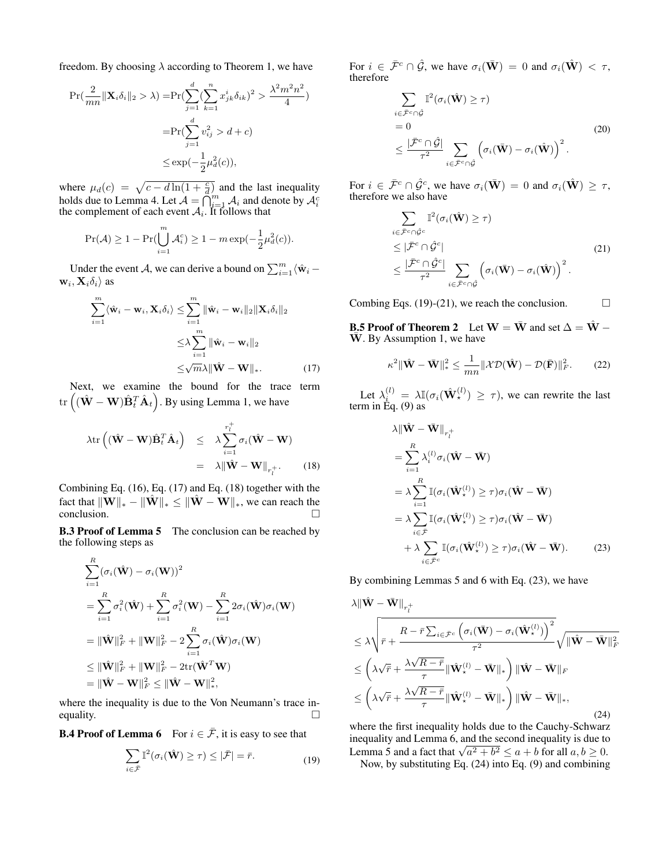freedom. By choosing  $\lambda$  according to Theorem 1, we have

$$
\Pr(\frac{2}{mn} \|\mathbf{X}_{i}\delta_{i}\|_{2} > \lambda) = \Pr(\sum_{j=1}^{d} (\sum_{k=1}^{n} x_{jk}^{i} \delta_{ik})^{2} > \frac{\lambda^{2} m^{2} n^{2}}{4})
$$

$$
= \Pr(\sum_{j=1}^{d} v_{ij}^{2} > d + c)
$$

$$
\leq \exp(-\frac{1}{2}\mu_{d}^{2}(c)),
$$

where  $\mu_d(c) = \sqrt{c - d \ln(1 + \frac{c}{d})}$  and the last inequality holds due to Lemma 4. Let  $A = \bigcap_{i=1}^{n} A_i$  and denote by  $A_i^c$  the complement of each event  $A_i$ . It follows that

$$
\Pr(\mathcal{A}) \ge 1 - \Pr(\bigcup_{i=1}^{m} \mathcal{A}_i^c) \ge 1 - m \exp(-\frac{1}{2}\mu_d^2(c)).
$$

Under the event A, we can derive a bound on  $\sum_{i=1}^{m} \langle \hat{\mathbf{w}}_i - \mathbf{w}_i \rangle$  $\mathbf{w}_i, \mathbf{X}_i \delta_i \rangle$  as

$$
\sum_{i=1}^{m} \langle \hat{\mathbf{w}}_i - \mathbf{w}_i, \mathbf{X}_i \delta_i \rangle \leq \sum_{i=1}^{m} ||\hat{\mathbf{w}}_i - \mathbf{w}_i||_2 ||\mathbf{X}_i \delta_i||_2
$$
  

$$
\leq \lambda \sum_{i=1}^{m} ||\hat{\mathbf{w}}_i - \mathbf{w}_i||_2
$$
  

$$
\leq \sqrt{m} \lambda ||\hat{\mathbf{W}} - \mathbf{W}||_*.
$$
 (17)

Next, we examine the bound for the trace term  $\mathrm{tr}\left((\hat{\mathbf{W}}-\mathbf{W})\hat{\mathbf{B}}_{t}^T\hat{\mathbf{A}}_{t}\right)$ . By using Lemma 1, we have

$$
\lambda \text{tr}\left((\hat{\mathbf{W}} - \mathbf{W})\hat{\mathbf{B}}_t^T \hat{\mathbf{A}}_t\right) \leq \lambda \sum_{i=1}^{r_l^+} \sigma_i(\hat{\mathbf{W}} - \mathbf{W})
$$

$$
= \lambda \|\hat{\mathbf{W}} - \mathbf{W}\|_{r_l^+}.
$$
 (18)

Combining Eq. (16), Eq. (17) and Eq. (18) together with the fact that  $\|\mathbf{W}\|_{*} - \|\hat{\mathbf{W}}\|_{*} \leq \|\hat{\mathbf{W}} - \mathbf{W}\|_{*}$ , we can reach the conclusion.

**B.3 Proof of Lemma 5** The conclusion can be reached by the following steps as

$$
\sum_{i=1}^{R} (\sigma_i(\hat{\mathbf{W}}) - \sigma_i(\mathbf{W}))^2
$$
\n
$$
= \sum_{i=1}^{R} \sigma_i^2(\hat{\mathbf{W}}) + \sum_{i=1}^{R} \sigma_i^2(\mathbf{W}) - \sum_{i=1}^{R} 2\sigma_i(\hat{\mathbf{W}})\sigma_i(\mathbf{W})
$$
\n
$$
= \|\hat{\mathbf{W}}\|_F^2 + \|\mathbf{W}\|_F^2 - 2\sum_{i=1}^{R} \sigma_i(\hat{\mathbf{W}})\sigma_i(\mathbf{W})
$$
\n
$$
\leq \|\hat{\mathbf{W}}\|_F^2 + \|\mathbf{W}\|_F^2 - 2\text{tr}(\hat{\mathbf{W}}^T\mathbf{W})
$$
\n
$$
= \|\hat{\mathbf{W}} - \mathbf{W}\|_F^2 \leq \|\hat{\mathbf{W}} - \mathbf{W}\|_*^2,
$$

where the inequality is due to the Von Neumann's trace inequality.  $\Box$ 

**B.4 Proof of Lemma 6** For  $i \in \overline{\mathcal{F}}$ , it is easy to see that

$$
\sum_{i \in \bar{\mathcal{F}}} \mathbb{I}^2(\sigma_i(\hat{\mathbf{W}}) \ge \tau) \le |\bar{\mathcal{F}}| = \bar{r}.
$$
 (19)

For  $i \in \bar{\mathcal{F}}^c \cap \hat{\mathcal{G}}$ , we have  $\sigma_i(\bar{\mathbf{W}}) = 0$  and  $\sigma_i(\hat{\mathbf{W}}) < \tau$ , therefore

$$
\sum_{i \in \bar{\mathcal{F}}^c \cap \hat{\mathcal{G}}} \mathbb{I}^2(\sigma_i(\hat{\mathbf{W}}) \geq \tau)
$$
  
= 0  

$$
\leq \frac{|\bar{\mathcal{F}}^c \cap \hat{\mathcal{G}}|}{\tau^2} \sum_{i \in \bar{\mathcal{F}}^c \cap \hat{\mathcal{G}}} \left( \sigma_i(\bar{\mathbf{W}}) - \sigma_i(\hat{\mathbf{W}}) \right)^2.
$$
 (20)

For  $i \in \bar{\mathcal{F}}^c \cap \hat{\mathcal{G}}^c$ , we have  $\sigma_i(\bar{\mathbf{W}}) = 0$  and  $\sigma_i(\hat{\mathbf{W}}) \geq \tau$ , therefore we also have

$$
\sum_{i \in \bar{\mathcal{F}}^c \cap \hat{\mathcal{G}}^c} \mathbb{I}^2(\sigma_i(\hat{\mathbf{W}}) \geq \tau) \n\leq |\bar{\mathcal{F}}^c \cap \hat{\mathcal{G}}^c| \n\leq \frac{|\bar{\mathcal{F}}^c \cap \hat{\mathcal{G}}^c|}{\tau^2} \sum_{i \in \bar{\mathcal{F}}^c \cap \hat{\mathcal{G}}} \left(\sigma_i(\bar{\mathbf{W}}) - \sigma_i(\hat{\mathbf{W}})\right)^2.
$$
\n(21)

Combing Eqs. (19)-(21), we reach the conclusion.  $\Box$ 

**B.5 Proof of Theorem 2** Let  $W = \overline{W}$  and set  $\Delta = \hat{W}$  –  $\overline{W}$ . By Assumption 1, we have

$$
\kappa^2 \|\hat{\mathbf{W}} - \bar{\mathbf{W}}\|_{*}^2 \le \frac{1}{mn} \|\mathcal{X}\mathcal{D}(\hat{\mathbf{W}}) - \mathcal{D}(\bar{\mathbf{F}})\|_{F}^2. \tag{22}
$$

Let  $\lambda_{\mu}^{(l)} = \lambda \mathbb{I}(\sigma_i(\hat{\mathbf{W}}_{\star}^{(l)}) \geq \tau)$ , we can rewrite the last term in Eq. (9) as

$$
\lambda \|\hat{\mathbf{W}} - \bar{\mathbf{W}}\|_{r_t^+} \n= \sum_{i=1}^R \lambda_i^{(l)} \sigma_i (\hat{\mathbf{W}} - \bar{\mathbf{W}}) \n= \lambda \sum_{i=1}^R \mathbb{I}(\sigma_i (\hat{\mathbf{W}}_*)^{\langle l \rangle}) \ge \tau) \sigma_i (\hat{\mathbf{W}} - \bar{\mathbf{W}}) \n= \lambda \sum_{i \in \bar{\mathcal{F}}} \mathbb{I}(\sigma_i (\hat{\mathbf{W}}_*)^{\langle l \rangle}) \ge \tau) \sigma_i (\hat{\mathbf{W}} - \bar{\mathbf{W}}) \n+ \lambda \sum_{i \in \bar{\mathcal{F}}^c} \mathbb{I}(\sigma_i (\hat{\mathbf{W}}_*)^{\langle l \rangle}) \ge \tau) \sigma_i (\hat{\mathbf{W}} - \bar{\mathbf{W}}).
$$
\n(23)

By combining Lemmas 5 and 6 with Eq. (23), we have

$$
\lambda \|\hat{\mathbf{W}} - \bar{\mathbf{W}}\|_{r_t^+} \n\leq \lambda \sqrt{\bar{r} + \frac{R - \bar{r} \sum_{i \in \bar{\mathcal{F}}^c} \left( \sigma_i(\bar{\mathbf{W}}) - \sigma_i(\hat{\mathbf{W}}^{(l)}_*) \right)^2}{\tau^2}} \sqrt{\|\hat{\mathbf{W}} - \bar{\mathbf{W}}\|_F^2} \n\leq \left( \lambda \sqrt{\bar{r}} + \frac{\lambda \sqrt{R - \bar{r}}}{\tau} \|\hat{\mathbf{W}}^{(l)}_* - \bar{\mathbf{W}}\|_{*} \right) \|\hat{\mathbf{W}} - \bar{\mathbf{W}}\|_F \n\leq \left( \lambda \sqrt{\bar{r}} + \frac{\lambda \sqrt{R - \bar{r}}}{\tau} \|\hat{\mathbf{W}}^{(l)}_* - \bar{\mathbf{W}}\|_{*} \right) \|\hat{\mathbf{W}} - \bar{\mathbf{W}}\|_{*},
$$
\n(24)

where the first inequality holds due to the Cauchy-Schwarz inequality and Lemma 6, and the second inequality is due to Equality and Lemma 6, and the second inequality is due to<br>Lemma 5 and a fact that  $\sqrt{a^2 + b^2} \le a + b$  for all  $a, b \ge 0$ .

Now, by substituting Eq. (24) into Eq. (9) and combining